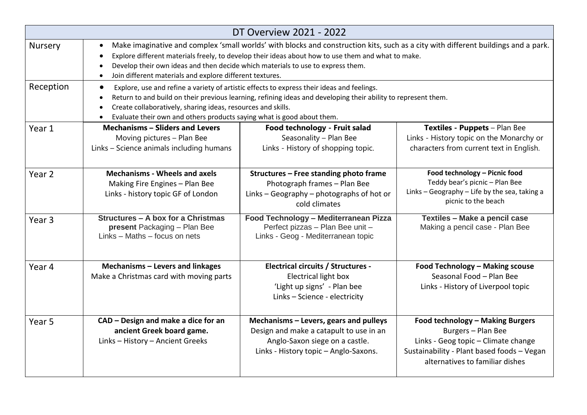|                   |                                                                                                                                                                                                                                                                                                                                                                                                      | DT Overview 2021 - 2022                                                                                                                                      |                                                                                                                                                                                |  |  |
|-------------------|------------------------------------------------------------------------------------------------------------------------------------------------------------------------------------------------------------------------------------------------------------------------------------------------------------------------------------------------------------------------------------------------------|--------------------------------------------------------------------------------------------------------------------------------------------------------------|--------------------------------------------------------------------------------------------------------------------------------------------------------------------------------|--|--|
| <b>Nursery</b>    | Make imaginative and complex 'small worlds' with blocks and construction kits, such as a city with different buildings and a park.<br>$\bullet$<br>Explore different materials freely, to develop their ideas about how to use them and what to make.<br>Develop their own ideas and then decide which materials to use to express them.<br>Join different materials and explore different textures. |                                                                                                                                                              |                                                                                                                                                                                |  |  |
| Reception         | Explore, use and refine a variety of artistic effects to express their ideas and feelings.<br>Return to and build on their previous learning, refining ideas and developing their ability to represent them.<br>Create collaboratively, sharing ideas, resources and skills.<br>Evaluate their own and others products saying what is good about them.<br>$\bullet$                                  |                                                                                                                                                              |                                                                                                                                                                                |  |  |
| Year 1            | <b>Mechanisms - Sliders and Levers</b><br>Moving pictures - Plan Bee<br>Links - Science animals including humans                                                                                                                                                                                                                                                                                     | Food technology - Fruit salad<br>Seasonality - Plan Bee<br>Links - History of shopping topic.                                                                | Textiles - Puppets - Plan Bee<br>Links - History topic on the Monarchy or<br>characters from current text in English.                                                          |  |  |
| Year <sub>2</sub> | <b>Mechanisms - Wheels and axels</b><br>Making Fire Engines - Plan Bee<br>Links - history topic GF of London                                                                                                                                                                                                                                                                                         | Structures - Free standing photo frame<br>Photograph frames - Plan Bee<br>Links - Geography - photographs of hot or<br>cold climates                         | Food technology - Picnic food<br>Teddy bear's picnic - Plan Bee<br>Links - Geography - Life by the sea, taking a<br>picnic to the beach                                        |  |  |
| Year <sub>3</sub> | Structures - A box for a Christmas<br>present Packaging - Plan Bee<br>Links - Maths - focus on nets                                                                                                                                                                                                                                                                                                  | Food Technology - Mediterranean Pizza<br>Perfect pizzas - Plan Bee unit -<br>Links - Geog - Mediterranean topic                                              | Textiles - Make a pencil case<br>Making a pencil case - Plan Bee                                                                                                               |  |  |
| Year 4            | Mechanisms - Levers and linkages<br>Make a Christmas card with moving parts                                                                                                                                                                                                                                                                                                                          | <b>Electrical circuits / Structures -</b><br><b>Electrical light box</b><br>'Light up signs' - Plan bee<br>Links - Science - electricity                     | Food Technology - Making scouse<br>Seasonal Food - Plan Bee<br>Links - History of Liverpool topic                                                                              |  |  |
| Year <sub>5</sub> | CAD - Design and make a dice for an<br>ancient Greek board game.<br>Links - History - Ancient Greeks                                                                                                                                                                                                                                                                                                 | Mechanisms - Levers, gears and pulleys<br>Design and make a catapult to use in an<br>Anglo-Saxon siege on a castle.<br>Links - History topic - Anglo-Saxons. | Food technology - Making Burgers<br>Burgers - Plan Bee<br>Links - Geog topic - Climate change<br>Sustainability - Plant based foods - Vegan<br>alternatives to familiar dishes |  |  |